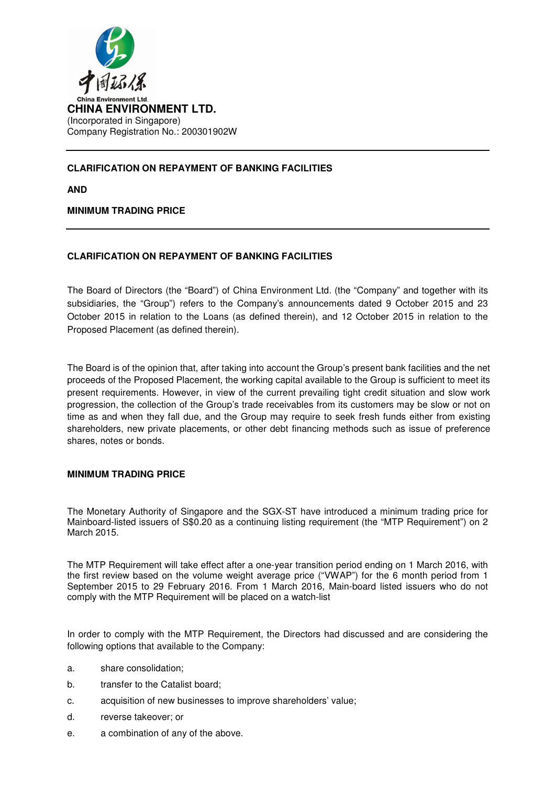

## **CLARIFICATION ON REPAYMENT OF BANKING FACILITIES**

**AND** 

## **MINIMUM TRADING PRICE**

## **CLARIFICATION ON REPAYMENT OF BANKING FACILITIES**

The Board of Directors (the "Board") of China Environment Ltd. (the "Company" and together with its subsidiaries, the "Group") refers to the Company's announcements dated 9 October 2015 and 23 October 2015 in relation to the Loans (as defined therein), and 12 October 2015 in relation to the Proposed Placement (as defined therein).

The Board is of the opinion that, after taking into account the Group's present bank facilities and the net proceeds of the Proposed Placement, the working capital available to the Group is sufficient to meet its present requirements. However, in view of the current prevailing tight credit situation and slow work progression, the collection of the Group's trade receivables from its customers may be slow or not on time as and when they fall due, and the Group may require to seek fresh funds either from existing shareholders, new private placements, or other debt financing methods such as issue of preference shares, notes or bonds.

## **MINIMUM TRADING PRICE**

The Monetary Authority of Singapore and the SGX-ST have introduced a minimum trading price for Mainboard-listed issuers of S\$0.20 as a continuing listing requirement (the "MTP Requirement") on 2 March 2015.

The MTP Requirement will take effect after a one-year transition period ending on 1 March 2016, with the first review based on the volume weight average price ("VWAP") for the 6 month period from 1 September 2015 to 29 February 2016. From 1 March 2016, Main-board listed issuers who do not comply with the MTP Requirement will be placed on a watch-list

In order to comply with the MTP Requirement, the Directors had discussed and are considering the following options that available to the Company:

- a. share consolidation;
- b. transfer to the Catalist board;
- c. acquisition of new businesses to improve shareholders' value;
- d. reverse takeover; or
- e. a combination of any of the above.